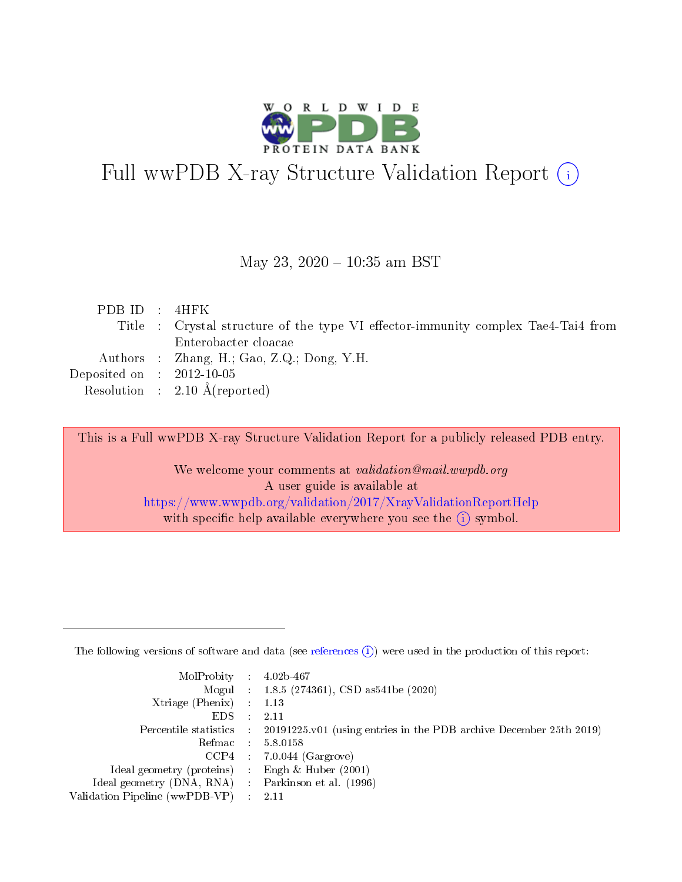

# Full wwPDB X-ray Structure Validation Report (i)

#### May 23,  $2020 - 10:35$  am BST

| PDBID : 4HFK                |                                                                                   |
|-----------------------------|-----------------------------------------------------------------------------------|
|                             | Title : Crystal structure of the type VI effector-immunity complex Tae4-Tai4 from |
|                             | Enterobacter cloacae                                                              |
|                             | Authors : Zhang, H.; Gao, Z.Q.; Dong, Y.H.                                        |
| Deposited on : $2012-10-05$ |                                                                                   |
|                             | Resolution : $2.10 \text{ Å}$ (reported)                                          |
|                             |                                                                                   |

This is a Full wwPDB X-ray Structure Validation Report for a publicly released PDB entry.

We welcome your comments at validation@mail.wwpdb.org A user guide is available at <https://www.wwpdb.org/validation/2017/XrayValidationReportHelp> with specific help available everywhere you see the  $(i)$  symbol.

The following versions of software and data (see [references](https://www.wwpdb.org/validation/2017/XrayValidationReportHelp#references)  $(1)$ ) were used in the production of this report:

| $MolProbability$ 4.02b-467                          |               |                                                                                            |
|-----------------------------------------------------|---------------|--------------------------------------------------------------------------------------------|
|                                                     |               | Mogul : 1.8.5 (274361), CSD as 541be (2020)                                                |
| Xtriage (Phenix) $: 1.13$                           |               |                                                                                            |
| EDS.                                                | $\mathcal{L}$ | -2.11                                                                                      |
|                                                     |               | Percentile statistics : 20191225.v01 (using entries in the PDB archive December 25th 2019) |
|                                                     |               | Refmac $5.8.0158$                                                                          |
| CCP4                                                |               | $7.0.044$ (Gargrove)                                                                       |
| Ideal geometry (proteins)                           | $\sim$        | Engh $\&$ Huber (2001)                                                                     |
| Ideal geometry (DNA, RNA) : Parkinson et al. (1996) |               |                                                                                            |
| Validation Pipeline (wwPDB-VP) : 2.11               |               |                                                                                            |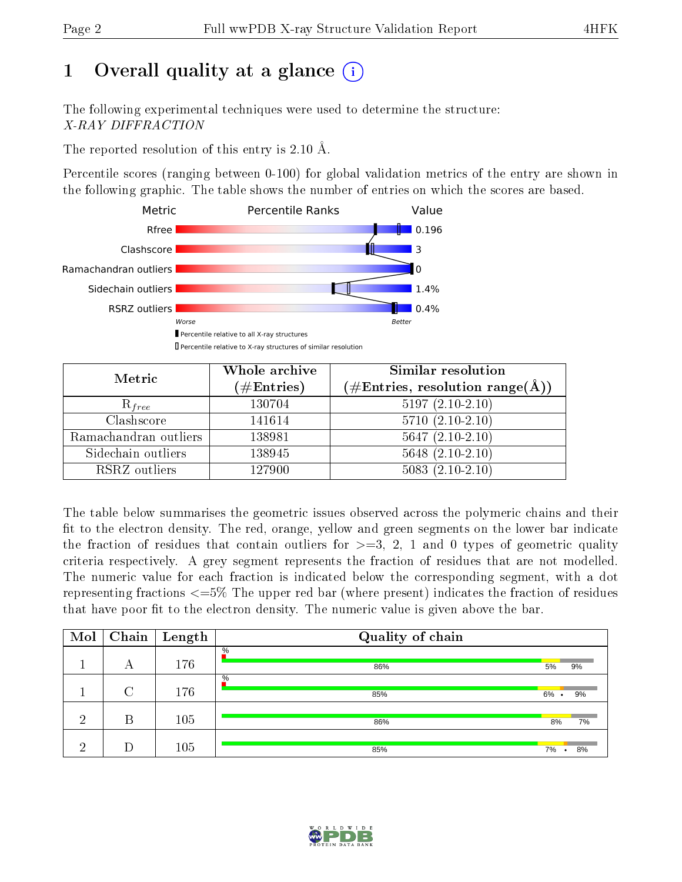### 1 [O](https://www.wwpdb.org/validation/2017/XrayValidationReportHelp#overall_quality)verall quality at a glance  $(i)$

The following experimental techniques were used to determine the structure: X-RAY DIFFRACTION

The reported resolution of this entry is 2.10 Å.

Percentile scores (ranging between 0-100) for global validation metrics of the entry are shown in the following graphic. The table shows the number of entries on which the scores are based.



| Metric                | Whole archive<br>$(\#\text{Entries})$ | Similar resolution<br>$(\#\text{Entries}, \, \text{resolution range}(\textup{\AA}))$ |
|-----------------------|---------------------------------------|--------------------------------------------------------------------------------------|
| $R_{free}$            | 130704                                | $5197(2.10-2.10)$                                                                    |
| Clashscore            | 141614                                | $5710(2.10-2.10)$                                                                    |
| Ramachandran outliers | 138981                                | $5647 (2.10-2.10)$                                                                   |
| Sidechain outliers    | 138945                                | $5648(2.10-2.10)$                                                                    |
| RSRZ outliers         | 127900                                | $5083(2.10-2.10)$                                                                    |

The table below summarises the geometric issues observed across the polymeric chains and their fit to the electron density. The red, orange, yellow and green segments on the lower bar indicate the fraction of residues that contain outliers for  $>=3, 2, 1$  and 0 types of geometric quality criteria respectively. A grey segment represents the fraction of residues that are not modelled. The numeric value for each fraction is indicated below the corresponding segment, with a dot representing fractions <=5% The upper red bar (where present) indicates the fraction of residues that have poor fit to the electron density. The numeric value is given above the bar.

| Mol |        | $\boxed{\text{Chain}}$ Length | Quality of chain |                 |                 |
|-----|--------|-------------------------------|------------------|-----------------|-----------------|
|     | А      | 176                           | $\%$<br>86%      | 5%              | 9%              |
|     | $\cap$ | 176                           | $\%$<br>85%      | 6%<br>$\bullet$ | 9%              |
| ച   | В      | 105                           | 86%              | 8%              | 7%              |
| ച   |        | 105                           | 85%              | 7%              | 8%<br>$\bullet$ |

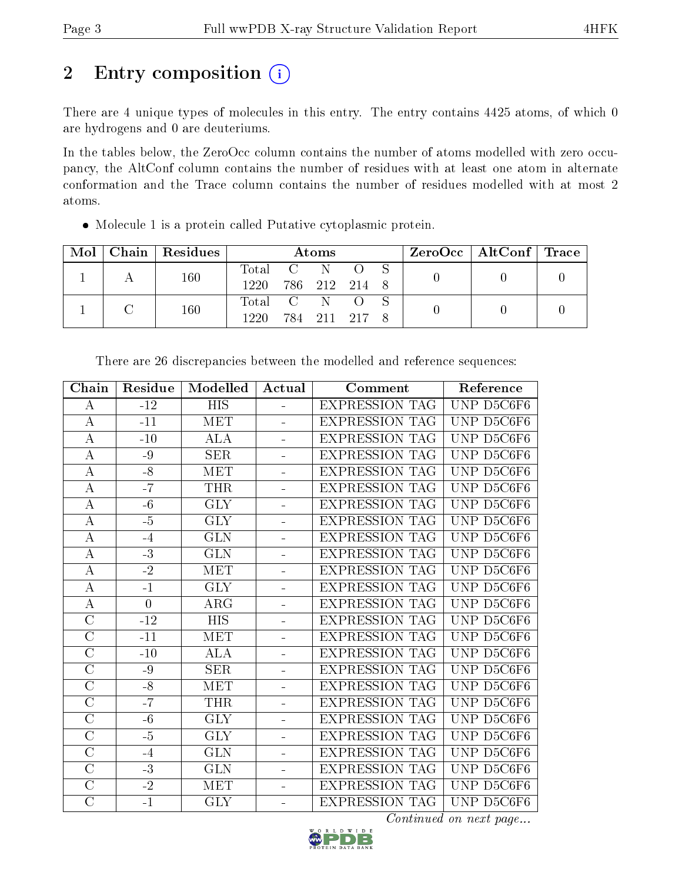## 2 Entry composition (i)

There are 4 unique types of molecules in this entry. The entry contains 4425 atoms, of which 0 are hydrogens and 0 are deuteriums.

In the tables below, the ZeroOcc column contains the number of atoms modelled with zero occupancy, the AltConf column contains the number of residues with at least one atom in alternate conformation and the Trace column contains the number of residues modelled with at most 2 atoms.

| $\cdot$ Mol $\cdot$ |  | Chain   Residues | <b>Atoms</b>       |  |               |  |  | $\rm ZeroOcc$   AltConf   Trace |  |
|---------------------|--|------------------|--------------------|--|---------------|--|--|---------------------------------|--|
|                     |  | 160              | Total C N O S      |  |               |  |  |                                 |  |
|                     |  |                  | 1220 786 212 214 8 |  |               |  |  |                                 |  |
|                     |  | 160              | Total C N O        |  |               |  |  |                                 |  |
|                     |  |                  | 1220.              |  | 784 211 217 8 |  |  |                                 |  |

Molecule 1 is a protein called Putative cytoplasmic protein.

| Chain              | Residue         | Modelled                | Actual   | Comment               | Reference  |
|--------------------|-----------------|-------------------------|----------|-----------------------|------------|
| $\bf{A}$           | $-12$           | $\overline{HIS}$        | ÷,       | <b>EXPRESSION TAG</b> | UNP D5C6F6 |
| $\bf{A}$           | $-11$           | <b>MET</b>              | ÷.       | EXPRESSION TAG        | UNP D5C6F6 |
| $\bf{A}$           | $-10$           | $\overline{ALA}$        |          | <b>EXPRESSION TAG</b> | UNP D5C6F6 |
| $\boldsymbol{A}$   | -9              | <b>SER</b>              | $\equiv$ | <b>EXPRESSION TAG</b> | UNP D5C6F6 |
| $\bf{A}$           | $-8$            | MET                     |          | <b>EXPRESSION TAG</b> | UNP D5C6F6 |
| $\boldsymbol{A}$   | $-7$            | <b>THR</b>              | ÷.       | <b>EXPRESSION TAG</b> | UNP D5C6F6 |
| $\bf{A}$           | $-6$            | <b>GLY</b>              | ÷,       | <b>EXPRESSION TAG</b> | UNP D5C6F6 |
| $\boldsymbol{A}$   | $-\overline{5}$ | <b>GLY</b>              | ÷,       | <b>EXPRESSION TAG</b> | UNP D5C6F6 |
| $\bf{A}$           | $-4$            | <b>GLN</b>              | ÷,       | <b>EXPRESSION TAG</b> | UNP D5C6F6 |
| $\overline{A}$     | $\overline{-3}$ | $\overline{\text{GLN}}$ | ÷        | EXPRESSION TAG        | UNP D5C6F6 |
| $\bf{A}$           | $-2$            | MET                     | ÷,       | <b>EXPRESSION TAG</b> | UNP D5C6F6 |
| $\bf{A}$           | $-1$            | <b>GLY</b>              | L.       | <b>EXPRESSION TAG</b> | UNP D5C6F6 |
| $\boldsymbol{A}$   | $\overline{0}$  | $\rm{ARG}$              | -        | <b>EXPRESSION TAG</b> | UNP D5C6F6 |
| $\mathcal{C}$      | $-12$           | <b>HIS</b>              | L,       | <b>EXPRESSION TAG</b> | UNP D5C6F6 |
| $\overline{\rm C}$ | $-11$           | MET                     | ÷        | <b>EXPRESSION TAG</b> | UNP D5C6F6 |
| $\overline{C}$     | $-10$           | <b>ALA</b>              | ÷,       | <b>EXPRESSION TAG</b> | UNP D5C6F6 |
| $\overline{\rm C}$ | $-9$            | <b>SER</b>              | ÷,       | <b>EXPRESSION TAG</b> | UNP D5C6F6 |
| $\overline{C}$     | $-8$            | <b>MET</b>              | ÷,       | EXPRESSION TAG        | UNP D5C6F6 |
| $\overline{C}$     | $-7$            | <b>THR</b>              | ÷.       | <b>EXPRESSION TAG</b> | UNP D5C6F6 |
| $\overline{\rm C}$ | $-6$            | $\overline{\text{GLY}}$ | -        | <b>EXPRESSION TAG</b> | UNP D5C6F6 |
| $\mathcal{C}$      | $-5$            | <b>GLY</b>              | ÷.       | <b>EXPRESSION TAG</b> | UNP D5C6F6 |
| $\mathcal{C}$      | $-4$            | <b>GLN</b>              | ÷        | <b>EXPRESSION TAG</b> | UNP D5C6F6 |
| $\overline{C}$     | $-3$            | <b>GLN</b>              | ÷.       | <b>EXPRESSION TAG</b> | UNP D5C6F6 |
| $\overline{C}$     | $-2$            | MET                     | ÷.       | <b>EXPRESSION TAG</b> | UNP D5C6F6 |
| $\overline{\rm C}$ | $-1$            | $\overline{\text{GLY}}$ | ÷        | <b>EXPRESSION TAG</b> | UNP D5C6F6 |

There are 26 discrepancies between the modelled and reference sequences:

Continued on next page...

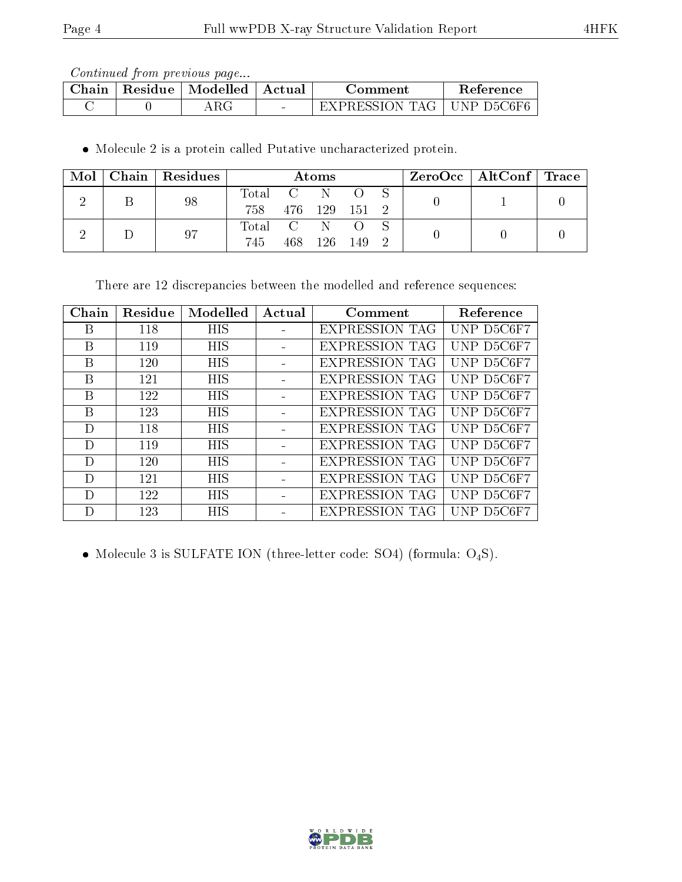Continued from previous page...

| $\mathbb{C}\mathbf{h}$ ain | Residue | Modelled | Actual | .omment                       | Reference  |
|----------------------------|---------|----------|--------|-------------------------------|------------|
|                            |         |          | $\sim$ | ' I ' A 7<br>= X P R ESSION = | JNP D5C6F6 |

Molecule 2 is a protein called Putative uncharacterized protein.

| Mol |  | Chain   Residues | Atoms             |  |         | ZeroOcc   AltConf   Trace |  |  |  |
|-----|--|------------------|-------------------|--|---------|---------------------------|--|--|--|
|     |  | 98               | Total C N O S     |  |         |                           |  |  |  |
|     |  |                  | 758 476 129 151 2 |  |         |                           |  |  |  |
|     |  | 97               | Total C N O       |  |         |                           |  |  |  |
|     |  |                  | 745               |  | 468 126 | - 149 - 2                 |  |  |  |

There are 12 discrepancies between the modelled and reference sequences:

| Chain | Residue | Modelled   | Actual | Comment               | Reference  |
|-------|---------|------------|--------|-----------------------|------------|
| В     | 118     | HIS        |        | <b>EXPRESSION TAG</b> | UNP D5C6F7 |
| В     | 119     | <b>HIS</b> |        | <b>EXPRESSION TAG</b> | UNP D5C6F7 |
| В     | 120     | <b>HIS</b> |        | <b>EXPRESSION TAG</b> | UNP D5C6F7 |
| В     | 121     | <b>HIS</b> |        | <b>EXPRESSION TAG</b> | UNP D5C6F7 |
| В     | 122     | <b>HIS</b> |        | <b>EXPRESSION TAG</b> | UNP D5C6F7 |
| В     | 123     | <b>HIS</b> |        | <b>EXPRESSION TAG</b> | UNP D5C6F7 |
| D     | 118     | <b>HIS</b> |        | <b>EXPRESSION TAG</b> | UNP D5C6F7 |
| D     | 119     | <b>HIS</b> |        | <b>EXPRESSION TAG</b> | UNP D5C6F7 |
| D     | 120     | <b>HIS</b> |        | <b>EXPRESSION TAG</b> | UNP D5C6F7 |
| D     | 121     | <b>HIS</b> |        | <b>EXPRESSION TAG</b> | UNP D5C6F7 |
| D     | 122     | <b>HIS</b> |        | <b>EXPRESSION TAG</b> | UNP D5C6F7 |
| Ð     | 123     | HIS        |        | <b>EXPRESSION TAG</b> | UNP D5C6F7 |

 $\bullet$  Molecule 3 is SULFATE ION (three-letter code: SO4) (formula:  $\mathrm{O}_4\mathrm{S}$ ).

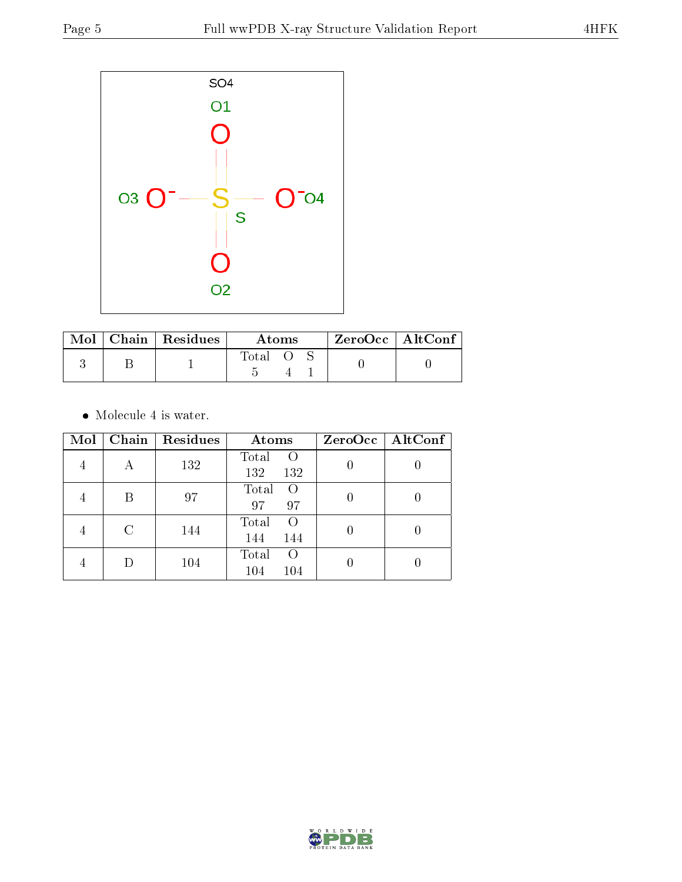

|  | Mol   Chain   Residues | Atoms   |  |  | $ZeroOcc$   AltConf |
|--|------------------------|---------|--|--|---------------------|
|  |                        | -l'otal |  |  |                     |

 $\bullet\,$  Molecule 4 is water.

| Mol |   | Chain   Residues | Atoms                                   | $ZeroOcc$   AltConf |
|-----|---|------------------|-----------------------------------------|---------------------|
|     | А | 132              | Total<br>$\circ$<br>132<br>132          |                     |
|     | В | 97               | Total<br>$\Omega$<br>97<br>97           |                     |
|     | C | 144              | Total<br>$\Omega$<br>144<br>144         |                     |
|     | D | 104              | Total<br>$\left( \right)$<br>104<br>104 |                     |

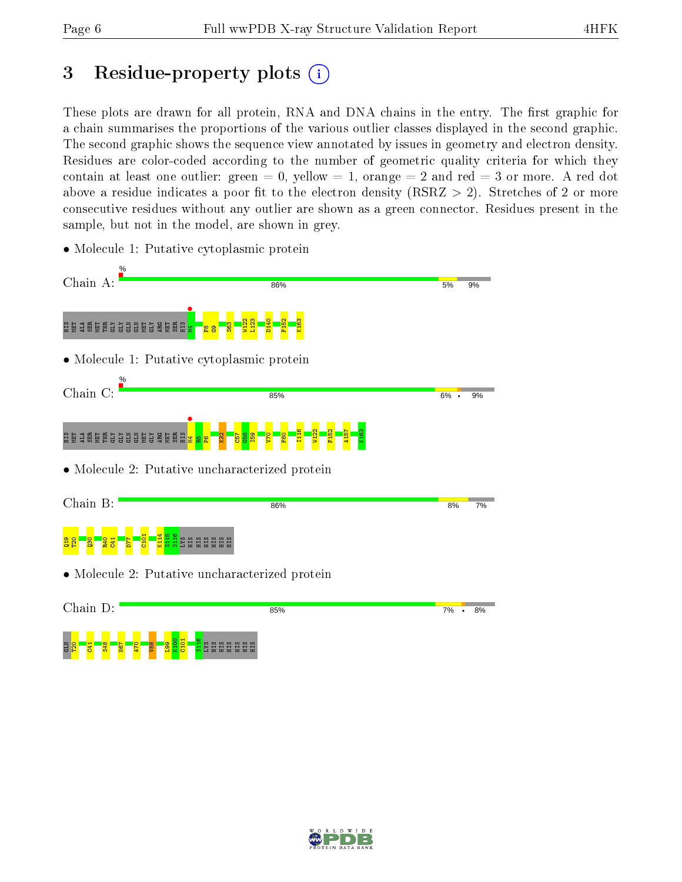### 3 Residue-property plots  $(i)$

These plots are drawn for all protein, RNA and DNA chains in the entry. The first graphic for a chain summarises the proportions of the various outlier classes displayed in the second graphic. The second graphic shows the sequence view annotated by issues in geometry and electron density. Residues are color-coded according to the number of geometric quality criteria for which they contain at least one outlier: green  $= 0$ , yellow  $= 1$ , orange  $= 2$  and red  $= 3$  or more. A red dot above a residue indicates a poor fit to the electron density (RSRZ  $> 2$ ). Stretches of 2 or more consecutive residues without any outlier are shown as a green connector. Residues present in the sample, but not in the model, are shown in grey.

- Chain A: 86%  $5%$ 9%  $\frac{1}{2}$ W122 L123 D140 F152 K163 e ga geläs se geläs geläs geläs geläs geläs geläs geläs geläs geläs geläs geläs geläs geläs geläs geläs geläs  $585$  $\frac{\infty}{2}$  $\frac{1}{2}$ • Molecule 1: Putative cytoplasmic protein Chain C: 85%  $6\%$  . 9%  $\frac{1}{2}$ I116 W122 F152 A157 K163 e ga geläs sä geläs geläs geläs kuninga kuninga kuninga kuninga kuninga kuninga kuninga kuninga kuninga kuning  $\frac{82}{2}$  $\frac{57}{2}$  $\frac{8}{3}$ I59 V70  $\frac{80}{2}$  $\mathbf{e}_1$  $\mathbf{E}$  . • Molecule 2: Putative uncharacterized protein Chain B: 86%  $R\%$ 7% K114 S115 S116  $\frac{101}{2}$ <u>8일 - 8 - 8 1</u><br>8 0 - 8 - 8 1 D77 LYS HIS HIS HIS HIS HIS HIS • Molecule 2: Putative uncharacterized protein Chain D: 85%  $7\% \cdot 8\%$
- Molecule 1: Putative cytoplasmic protein



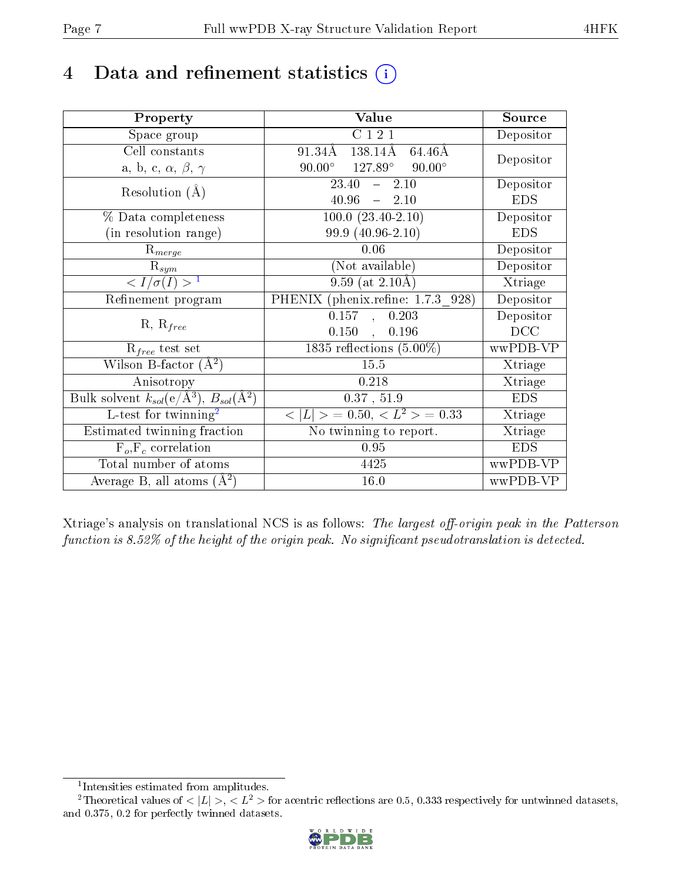### 4 Data and refinement statistics  $(i)$

| Property                                                             | Value                                    | Source                       |
|----------------------------------------------------------------------|------------------------------------------|------------------------------|
| Space group                                                          | C121                                     | Depositor                    |
| Cell constants                                                       | 138.14Å<br>64.46Å<br>91.34Å              | Depositor                    |
| a, b, c, $\alpha$ , $\beta$ , $\gamma$                               | $90.00^{\circ}$ 127.89°<br>$90.00^\circ$ |                              |
| Resolution $(A)$                                                     | $23.40 - 2.10$                           | Depositor                    |
|                                                                      | $40.96 - 2.10$                           | <b>EDS</b>                   |
| % Data completeness                                                  | $100.0 (23.40-2.10)$                     | Depositor                    |
| (in resolution range)                                                | 99.9 (40.96-2.10)                        | <b>EDS</b>                   |
| $R_{merge}$                                                          | 0.06                                     | Depositor                    |
| $\mathrm{R}_{sym}$                                                   | (Not available)                          | Depositor                    |
| $\langle I/\sigma(I) \rangle^{-1}$                                   | $9.59$ (at $2.10\text{\AA}$ )            | $\overline{\text{X}}$ triage |
| Refinement program                                                   | PHENIX (phenix.refine: 1.7.3 928)        | Depositor                    |
| $R, R_{free}$                                                        | $0.157$ ,<br>0.203                       | Depositor                    |
|                                                                      | $0.150$ ,<br>0.196                       | DCC                          |
| $R_{free}$ test set                                                  | 1835 reflections $(5.00\%)$              | wwPDB-VP                     |
| Wilson B-factor $(A^2)$                                              | 15.5                                     | Xtriage                      |
| Anisotropy                                                           | 0.218                                    | Xtriage                      |
| Bulk solvent $k_{sol}(e/\mathring{A}^3)$ , $B_{sol}(\mathring{A}^2)$ | 0.37, 51.9                               | <b>EDS</b>                   |
| L-test for twinning <sup>2</sup>                                     | $< L >$ = 0.50, $< L^2 >$ = 0.33         | Xtriage                      |
| Estimated twinning fraction                                          | No twinning to report.                   | Xtriage                      |
| $F_o, F_c$ correlation                                               | 0.95                                     | <b>EDS</b>                   |
| Total number of atoms                                                | 4425                                     | wwPDB-VP                     |
| Average B, all atoms $(A^2)$                                         | 16.0                                     | wwPDB-VP                     |

Xtriage's analysis on translational NCS is as follows: The largest off-origin peak in the Patterson function is 8.52% of the height of the origin peak. No significant pseudotranslation is detected.

<sup>&</sup>lt;sup>2</sup>Theoretical values of  $\langle |L| \rangle$ ,  $\langle L^2 \rangle$  for acentric reflections are 0.5, 0.333 respectively for untwinned datasets, and 0.375, 0.2 for perfectly twinned datasets.



<span id="page-6-1"></span><span id="page-6-0"></span><sup>1</sup> Intensities estimated from amplitudes.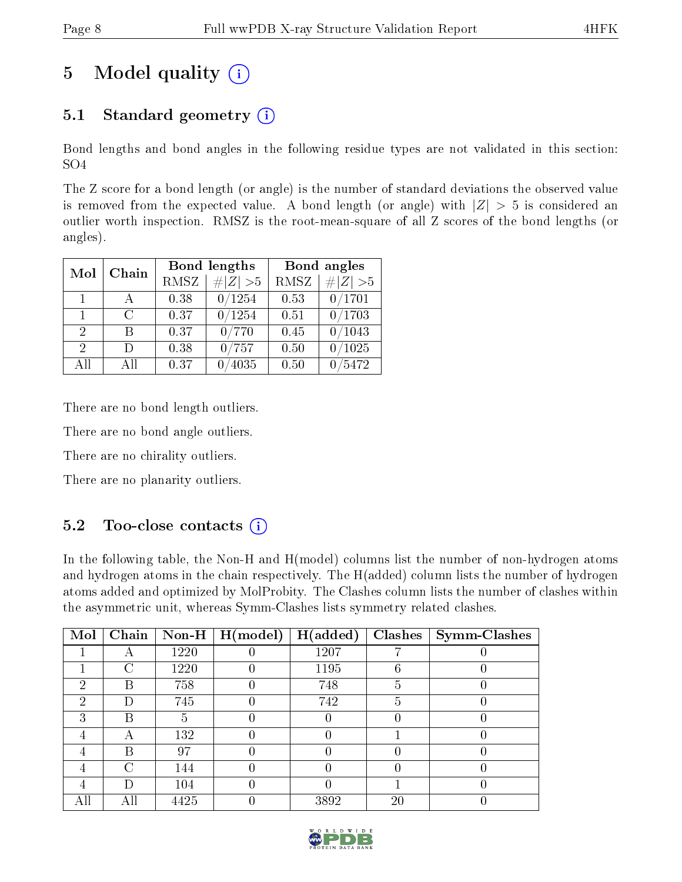### 5 Model quality  $(i)$

### 5.1 Standard geometry  $(i)$

Bond lengths and bond angles in the following residue types are not validated in this section: SO4

The Z score for a bond length (or angle) is the number of standard deviations the observed value is removed from the expected value. A bond length (or angle) with  $|Z| > 5$  is considered an outlier worth inspection. RMSZ is the root-mean-square of all Z scores of the bond lengths (or angles).

| Mol                         | Chain |      | Bond lengths | Bond angles |             |  |
|-----------------------------|-------|------|--------------|-------------|-------------|--|
|                             |       | RMSZ | $\# Z  > 5$  | <b>RMSZ</b> | $\ Z\  > 5$ |  |
| $\mathbf{1}$                |       | 0.38 | 0/1254       | 0.53        | 0/1701      |  |
| $\mathbf{1}$                | C     | 0.37 | 0/1254       | 0.51        | 0/1703      |  |
| $\mathcal{D}_{\mathcal{A}}$ | В     | 0.37 | 0/770        | 0.45        | /1043       |  |
| $\mathcal{D}_{\mathcal{L}}$ | Ð     | 0.38 | 0/757        | 0.50        | $/1025\,$   |  |
| All                         | Αll   | 0.37 | 4035         | 0.50        | /5472       |  |

There are no bond length outliers.

There are no bond angle outliers.

There are no chirality outliers.

There are no planarity outliers.

#### $5.2$  Too-close contacts  $(i)$

In the following table, the Non-H and H(model) columns list the number of non-hydrogen atoms and hydrogen atoms in the chain respectively. The H(added) column lists the number of hydrogen atoms added and optimized by MolProbity. The Clashes column lists the number of clashes within the asymmetric unit, whereas Symm-Clashes lists symmetry related clashes.

| Mol | Chain |      | $\boxed{\textbf{Non-H} \mid \textbf{H}(\text{model})}$ | H(added) | Clashes | Symm-Clashes |
|-----|-------|------|--------------------------------------------------------|----------|---------|--------------|
|     |       | 1220 |                                                        | 1207     |         |              |
|     | C     | 1220 |                                                        | 1195     | 6       |              |
| ച   | B     | 758  |                                                        | 748      | 5       |              |
| റ   | I)    | 745  |                                                        | 742      | Ð       |              |
| ച   | В     | 5    |                                                        |          |         |              |
|     |       | 132  |                                                        |          |         |              |
|     | В     | 97   |                                                        |          |         |              |
|     | C     | 144  |                                                        |          |         |              |
|     | Ð     | 104  |                                                        |          |         |              |
|     | All   | 4425 |                                                        | 3892     | 20      |              |

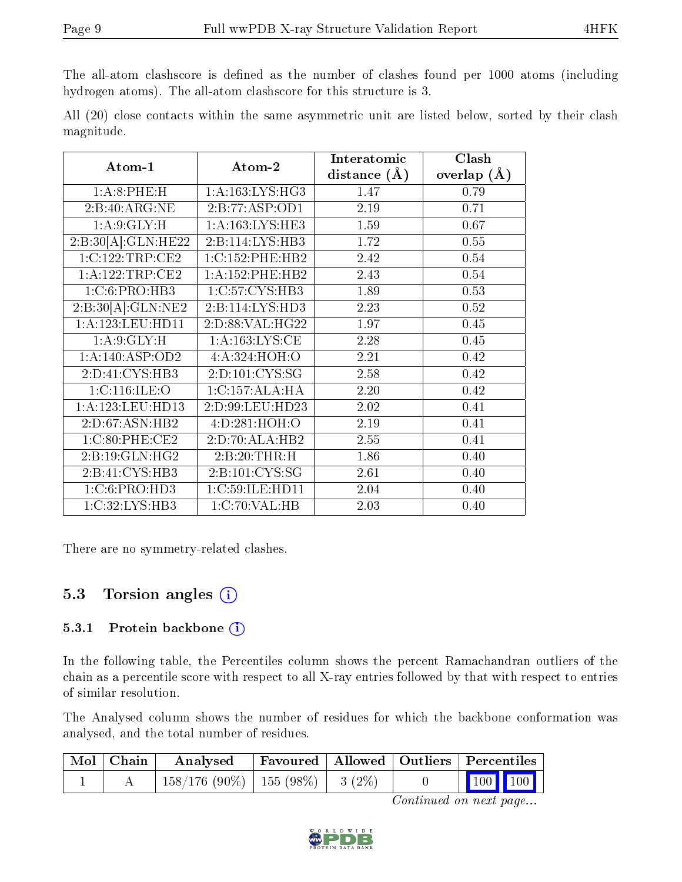The all-atom clashscore is defined as the number of clashes found per 1000 atoms (including hydrogen atoms). The all-atom clashscore for this structure is 3.

All (20) close contacts within the same asymmetric unit are listed below, sorted by their clash magnitude.

| Atom-1              | Atom-2              | Interatomic    | Clash         |
|---------------------|---------------------|----------------|---------------|
|                     |                     | distance $(A)$ | overlap $(A)$ |
| 1: A:8:PHE:H        | 1: A: 163: LYS: HG3 | 1.47           | 0.79          |
| 2:B:40:ARG:NE       | 2:B:77:ASP:OD1      | 2.19           | 0.71          |
| 1:A:9:GLY:H         | 1: A: 163: LYS: HE3 | 1.59           | 0.67          |
| 2:B:30[A]:GLN:HE22  | 2:B:114:LYS:HB3     | 1.72           | 0.55          |
| 1:C:122:TRP:CE2     | 1:C:152:PHE:HB2     | 2.42           | 0.54          |
| 1: A: 122: TRP: CE2 | $1: A:152:$ PHE:HB2 | 2.43           | 0.54          |
| 1: C:6: PRO:HB3     | 1:C:57:CYS:HB3      | 1.89           | 0.53          |
| 2:B:30[A]:GLN:NE2   | 2:B:114:LYS:HD3     | 2.23           | 0.52          |
| 1:A:123:LEU:HDI1    | 2:D:88:VAL:HG22     | 1.97           | 0.45          |
| 1: A:9: GLY: H      | 1: A: 163: LYS: CE  | 2.28           | 0.45          |
| 1: A:140: ASP:OD2   | 4: A:324:HOH:O      | 2.21           | 0.42          |
| 2:D:41:CYS:HB3      | 2: D: 101: CYS: SG  | 2.58           | 0.42          |
| 1:C:116:ILE:O       | 1:C:157:ALA:HA      | 2.20           | 0.42          |
| 1:A:123:LEU:HD13    | 2:D:99:LEU:HD23     | 2.02           | 0.41          |
| 2:D:67:ASN:HB2      | 4:D:281:HOH:O       | 2.19           | 0.41          |
| 1:C:80:PHE:CE2      | 2:D:70:ALA:HB2      | 2.55           | 0.41          |
| 2:B:19:GLN:HG2      | 2:B:20:THR:H        | 1.86           | 0.40          |
| 2:B:41:CYS:HB3      | 2:B:101:CYS:SG      | 2.61           | 0.40          |
| 1: C:6: PRO:HD3     | 1:C:59:ILE:HD11     | 2.04           | 0.40          |
| 1:C:32:LYS:HB3      | 1:C:70:VAL:HB       | 2.03           | 0.40          |

There are no symmetry-related clashes.

#### 5.3 Torsion angles (i)

#### 5.3.1 Protein backbone (i)

In the following table, the Percentiles column shows the percent Ramachandran outliers of the chain as a percentile score with respect to all X-ray entries followed by that with respect to entries of similar resolution.

The Analysed column shows the number of residues for which the backbone conformation was analysed, and the total number of residues.

| Mol   Chain | $\boldsymbol{\mathrm{Analysed}}$        |  | Favoured   Allowed   Outliers   Percentiles                |  |
|-------------|-----------------------------------------|--|------------------------------------------------------------|--|
|             | $158/176$ (90\%)   155 (98\%)   3 (2\%) |  | $\begin{array}{ c c c c }\n\hline\n100 & 100\n\end{array}$ |  |

Continued on next page...

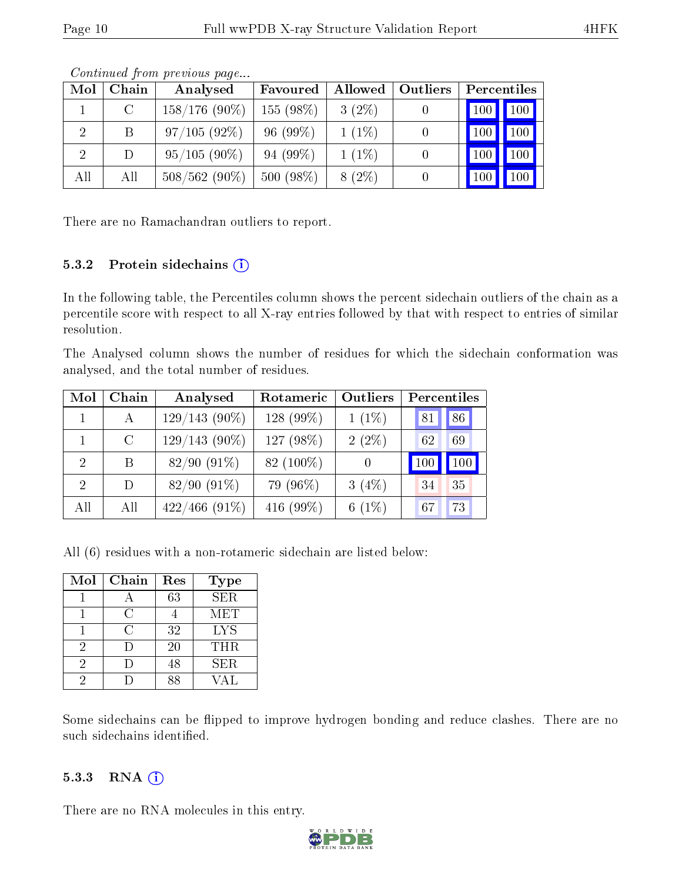| Mol            | Chain         | Analysed        | Favoured    | Allowed  | Outliers | Percentiles         |                     |
|----------------|---------------|-----------------|-------------|----------|----------|---------------------|---------------------|
|                | $\mathcal{C}$ | $158/176(90\%)$ | $155(98\%)$ | $3(2\%)$ |          | $\vert$ 100 $\vert$ | $\vert$ 100 $\vert$ |
| $\overline{2}$ | B             | 97/105(92%)     | $96(99\%)$  | $1(1\%)$ |          | 100                 | 100                 |
| $\overline{2}$ | D             | $95/105(90\%)$  | $94(99\%)$  | $1(1\%)$ |          | 100                 | 100                 |
| All            | All           | $508/562(90\%)$ | 500 (98%)   | $8(2\%)$ |          | 100                 | 100                 |

Continued from previous page...

There are no Ramachandran outliers to report.

#### 5.3.2 Protein sidechains  $(i)$

In the following table, the Percentiles column shows the percent sidechain outliers of the chain as a percentile score with respect to all X-ray entries followed by that with respect to entries of similar resolution.

The Analysed column shows the number of residues for which the sidechain conformation was analysed, and the total number of residues.

| Mol           | Chain         | Analysed         | Rotameric   | <b>Outliers</b> | Percentiles |     |
|---------------|---------------|------------------|-------------|-----------------|-------------|-----|
|               | $\mathbf{A}$  | $129/143(90\%)$  | $128(99\%)$ | $1(1\%)$        | 81          | 86  |
|               | $\mathcal{C}$ | $129/143(90\%)$  | 127 (98%)   | $2(2\%)$        | 62          | 69  |
| $\mathcal{D}$ | B             | $82/90(91\%)$    | 82 (100\%)  |                 | 100         | 100 |
| $\mathcal{D}$ | D             | $82/90(91\%)$    | 79 (96\%)   | $3(4\%)$        | 34          | 35  |
| All           | All           | $422/466$ (91\%) | 416 (99%)   | $6(1\%)$        | 67          | 73  |

All (6) residues with a non-rotameric sidechain are listed below:

| Mol | Chain | Res | <b>Type</b> |
|-----|-------|-----|-------------|
|     |       | 63  | <b>SER</b>  |
|     | ≅     |     | MET         |
|     | U.    | 32  | <b>LYS</b>  |
| 2   | Ð     | 20  | <b>THR</b>  |
| 2   |       | 48  | <b>SER</b>  |
|     |       | ९४  | √AT.        |

Some sidechains can be flipped to improve hydrogen bonding and reduce clashes. There are no such sidechains identified.

#### 5.3.3 RNA (i)

There are no RNA molecules in this entry.

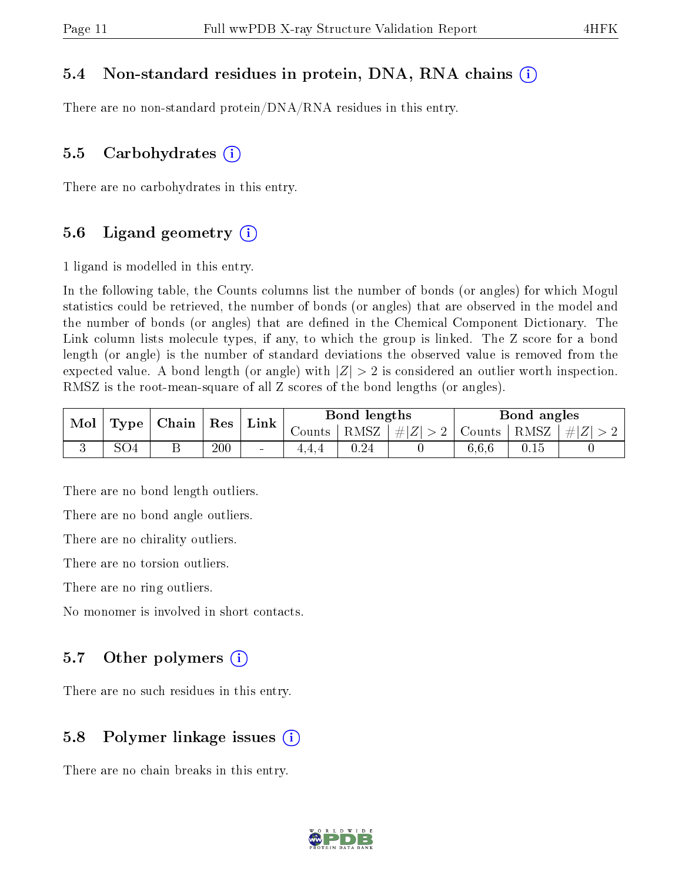#### 5.4 Non-standard residues in protein, DNA, RNA chains (i)

There are no non-standard protein/DNA/RNA residues in this entry.

#### 5.5 Carbohydrates  $(i)$

There are no carbohydrates in this entry.

#### 5.6 Ligand geometry  $(i)$

1 ligand is modelled in this entry.

In the following table, the Counts columns list the number of bonds (or angles) for which Mogul statistics could be retrieved, the number of bonds (or angles) that are observed in the model and the number of bonds (or angles) that are dened in the Chemical Component Dictionary. The Link column lists molecule types, if any, to which the group is linked. The Z score for a bond length (or angle) is the number of standard deviations the observed value is removed from the expected value. A bond length (or angle) with  $|Z| > 2$  is considered an outlier worth inspection. RMSZ is the root-mean-square of all Z scores of the bond lengths (or angles).

| Mol | Type            | $\mid$ Chain | $^{\shortmid}$ Res | Link                         |                     | Bond lengths |          |        | Bond angles |           |
|-----|-----------------|--------------|--------------------|------------------------------|---------------------|--------------|----------|--------|-------------|-----------|
|     |                 |              |                    |                              | $\sim$ ounts $\sim$ | RMSZ         | # Z  > 2 | Counts | RMSZ        | $\pm  Z $ |
|     | SO <sub>4</sub> | ┻            | 200                | $\qquad \qquad \blacksquare$ |                     | 0.24         |          | 6.6.6  |             |           |

There are no bond length outliers.

There are no bond angle outliers.

There are no chirality outliers.

There are no torsion outliers.

There are no ring outliers.

No monomer is involved in short contacts.

#### 5.7 [O](https://www.wwpdb.org/validation/2017/XrayValidationReportHelp#nonstandard_residues_and_ligands)ther polymers  $(i)$

There are no such residues in this entry.

#### 5.8 Polymer linkage issues  $(i)$

There are no chain breaks in this entry.

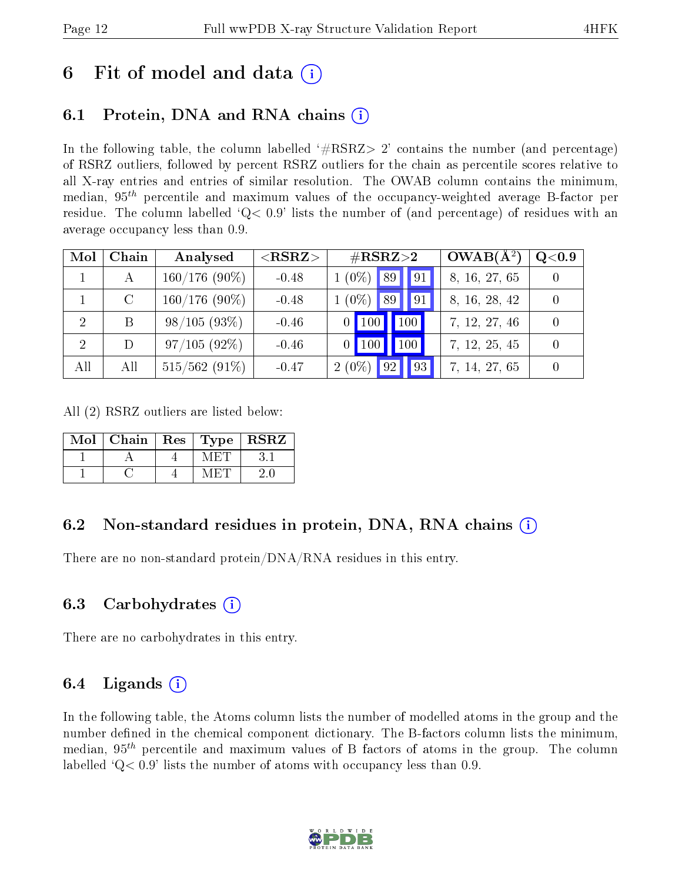### 6 Fit of model and data  $\left( \cdot \right)$

### 6.1 Protein, DNA and RNA chains (i)

In the following table, the column labelled  $#RSRZ>2'$  contains the number (and percentage) of RSRZ outliers, followed by percent RSRZ outliers for the chain as percentile scores relative to all X-ray entries and entries of similar resolution. The OWAB column contains the minimum, median,  $95<sup>th</sup>$  percentile and maximum values of the occupancy-weighted average B-factor per residue. The column labelled  $Q< 0.9$  lists the number of (and percentage) of residues with an average occupancy less than 0.9.

| Mol                         | Chain         | Analysed        | $<$ RSRZ $>$ | $\#\text{RSRZ}{>}2$  | $OWAB(A^2)$   | Q <sub>0.9</sub> |
|-----------------------------|---------------|-----------------|--------------|----------------------|---------------|------------------|
|                             | А             | $160/176(90\%)$ | $-0.48$      | $(0\%)$ 89 9 91      | 8, 16, 27, 65 |                  |
|                             | $\mathcal{C}$ | $160/176(90\%)$ | $-0.48$      | $(0\%)$<br>89   91   | 8, 16, 28, 42 |                  |
| $\mathcal{D}_{\mathcal{A}}$ | B             | 98/105(93%)     | $-0.46$      | 100<br>100           | 7, 12, 27, 46 |                  |
| $\overline{2}$              | D             | $97/105(92\%)$  | $-0.46$      | 100<br>100           | 7, 12, 25, 45 |                  |
| All                         | All           | $515/562(91\%)$ | $-0.47$      | $2(0\%)$<br>93<br>92 | 7, 14, 27, 65 |                  |

All (2) RSRZ outliers are listed below:

| $\overline{\text{Mol}}$ | Chain | $\operatorname{Res}$   $\operatorname{Type}$ | <b>RSRZ</b> |
|-------------------------|-------|----------------------------------------------|-------------|
|                         |       | AZE HULL                                     |             |
|                         |       |                                              |             |

#### 6.2 Non-standard residues in protein, DNA, RNA chains  $(i)$

There are no non-standard protein/DNA/RNA residues in this entry.

#### 6.3 Carbohydrates (i)

There are no carbohydrates in this entry.

#### 6.4 Ligands  $(i)$

In the following table, the Atoms column lists the number of modelled atoms in the group and the number defined in the chemical component dictionary. The B-factors column lists the minimum, median,  $95<sup>th</sup>$  percentile and maximum values of B factors of atoms in the group. The column labelled  $Q< 0.9$ ' lists the number of atoms with occupancy less than 0.9.